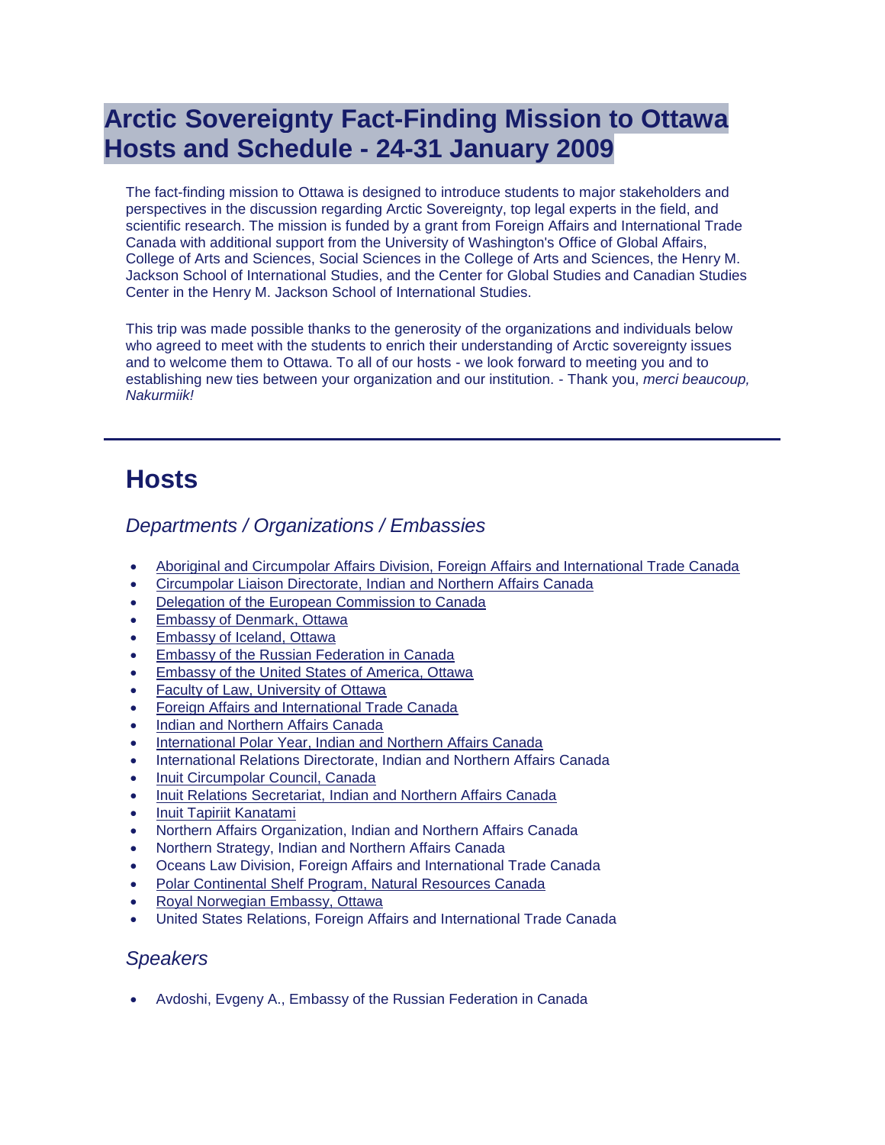# **Arctic Sovereignty Fact-Finding Mission to Ottawa Hosts and Schedule - 24-31 January 2009**

The fact-finding mission to Ottawa is designed to introduce students to major stakeholders and perspectives in the discussion regarding Arctic Sovereignty, top legal experts in the field, and scientific research. The mission is funded by a grant from Foreign Affairs and International Trade Canada with additional support from the University of Washington's Office of Global Affairs, College of Arts and Sciences, Social Sciences in the College of Arts and Sciences, the Henry M. Jackson School of International Studies, and the Center for Global Studies and Canadian Studies Center in the Henry M. Jackson School of International Studies.

This trip was made possible thanks to the generosity of the organizations and individuals below who agreed to meet with the students to enrich their understanding of Arctic sovereignty issues and to welcome them to Ottawa. To all of our hosts - we look forward to meeting you and to establishing new ties between your organization and our institution. - Thank you, *merci beaucoup, Nakurmiik!*

# **Hosts**

## *Departments / Organizations / Embassies*

- [Aboriginal and Circumpolar Affairs Division, Foreign Affairs and International Trade Canada](http://www.dfait-maeci.gc.ca/)
- [Circumpolar Liaison Directorate, Indian and Northern Affairs Canada](http://www.ainc-inac.gc.ca/nth/cl/index-eng.asp)
- [Delegation of the European Commission to Canada](http://www.delcan.ec.europa.eu/)
- [Embassy of Denmark, Ottawa](http://www.ambottawa.um.dk/en)
- [Embassy of Iceland, Ottawa](http://www.iceland.org/ca/the-embassy/iceland-and-canada/)
- **[Embassy of the Russian Federation in Canada](http://www.rusembcanada.mid.ru/)**
- Embassy [of the United States of America, Ottawa](http://ottawa.usembassy.gov/)
- [Faculty of Law, University of Ottawa](http://www.uottawa.ca/)
- [Foreign Affairs and International Trade Canada](http://www.international.gc.ca/)
- [Indian and Northern Affairs Canada](http://www.ainc-inac.gc.ca/index-eng.asp)
- [International Polar Year, Indian and Northern Affairs Canada](http://www.ipycanada.ca/)
- International Relations Directorate, Indian and Northern Affairs Canada
- [Inuit Circumpolar Council, Canada](http://www.inuitcircumpolar.com/)
- . [Inuit Relations Secretariat, Indian and Northern Affairs Canada](http://www.ainc-inac.gc.ca/ap/in/irs/index-eng.asp)
- [Inuit Tapiriit Kanatami](http://www.itk.ca/)
- Northern Affairs Organization, Indian and Northern Affairs Canada
- Northern Strategy, Indian and Northern Affairs Canada
- Oceans Law Division, Foreign Affairs and International Trade Canada
- [Polar Continental Shelf Program, Natural Resources Canada](http://polar.nrcan.gc.ca/index_e.php)
- [Royal Norwegian Embassy, Ottawa](http://www.emb-norway.ca/)
- United States Relations, Foreign Affairs and International Trade Canada

#### *Speakers*

Avdoshi, Evgeny A., Embassy of the Russian Federation in Canada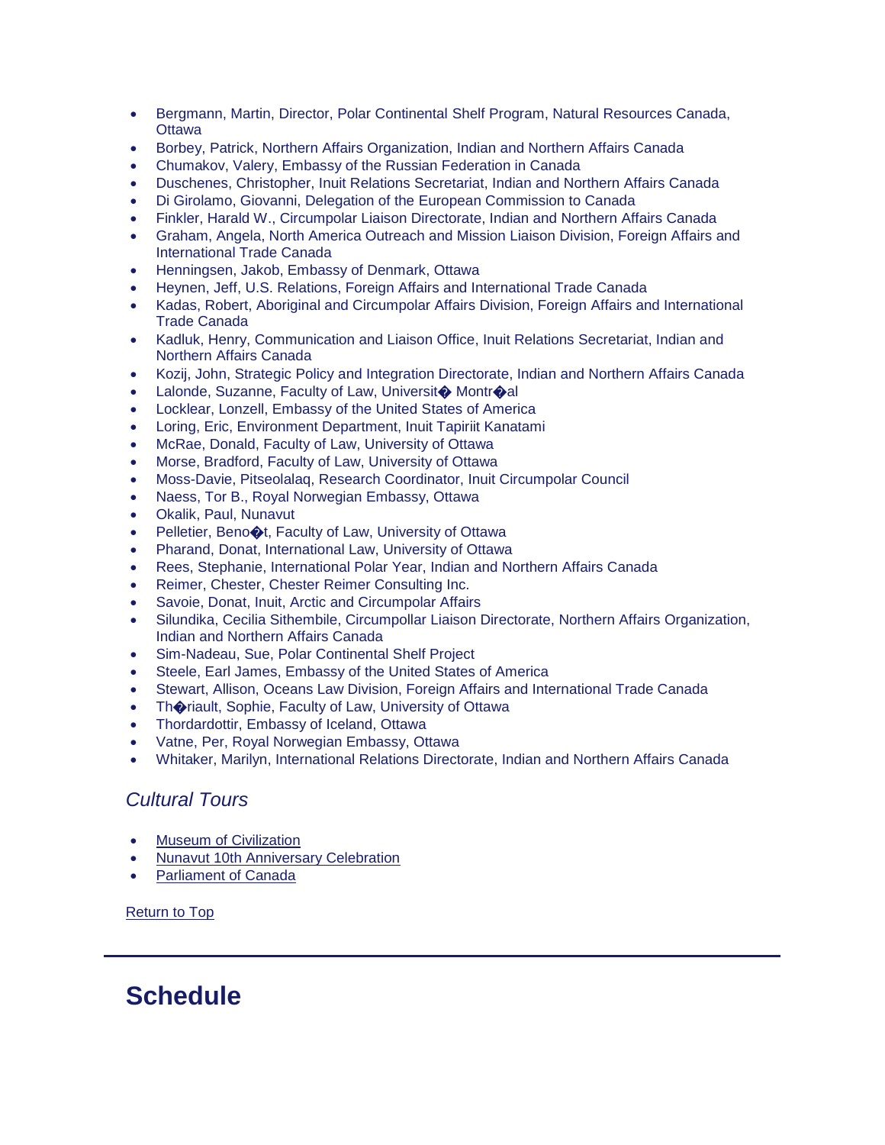- Bergmann, Martin, Director, Polar Continental Shelf Program, Natural Resources Canada, **Ottawa**
- Borbey, Patrick, Northern Affairs Organization, Indian and Northern Affairs Canada
- Chumakov, Valery, Embassy of the Russian Federation in Canada
- Duschenes, Christopher, Inuit Relations Secretariat, Indian and Northern Affairs Canada
- Di Girolamo, Giovanni, Delegation of the European Commission to Canada
- Finkler, Harald W., Circumpolar Liaison Directorate, Indian and Northern Affairs Canada
- Graham, Angela, North America Outreach and Mission Liaison Division, Foreign Affairs and International Trade Canada
- Henningsen, Jakob, Embassy of Denmark, Ottawa
- Heynen, Jeff, U.S. Relations, Foreign Affairs and International Trade Canada
- Kadas, Robert, Aboriginal and Circumpolar Affairs Division, Foreign Affairs and International Trade Canada
- Kadluk, Henry, Communication and Liaison Office, Inuit Relations Secretariat, Indian and Northern Affairs Canada
- Kozij, John, Strategic Policy and Integration Directorate, Indian and Northern Affairs Canada
- Lalonde, Suzanne, Faculty of Law, Universit� Montr�al
- Locklear, Lonzell, Embassy of the United States of America
- Loring, Eric, Environment Department, Inuit Tapiriit Kanatami
- McRae, Donald, Faculty of Law, University of Ottawa
- Morse, Bradford, Faculty of Law, University of Ottawa
- Moss-Davie, Pitseolalaq, Research Coordinator, Inuit Circumpolar Council
- Naess, Tor B., Royal Norwegian Embassy, Ottawa
- Okalik, Paul, Nunavut
- Pelletier, Beno $\bigcirc$ t, Faculty of Law, University of Ottawa
- Pharand, Donat, International Law, University of Ottawa
- Rees, Stephanie, International Polar Year, Indian and Northern Affairs Canada
- Reimer, Chester, Chester Reimer Consulting Inc.
- Savoie, Donat, Inuit, Arctic and Circumpolar Affairs
- Silundika, Cecilia Sithembile, Circumpollar Liaison Directorate, Northern Affairs Organization, Indian and Northern Affairs Canada
- Sim-Nadeau, Sue, Polar Continental Shelf Project
- Steele, Earl James, Embassy of the United States of America
- Stewart, Allison, Oceans Law Division, Foreign Affairs and International Trade Canada
- Th $\bullet$ riault, Sophie, Faculty of Law, University of Ottawa
- Thordardottir, Embassy of Iceland, Ottawa
- Vatne, Per, Royal Norwegian Embassy, Ottawa
- Whitaker, Marilyn, International Relations Directorate, Indian and Northern Affairs Canada

#### *Cultural Tours*

- [Museum of Civilization](http://www.civilization.ca/splash.html)
- [Nunavut 10th Anniversary Celebration](http://www.collectionscanada.gc.ca/democracy/index-e.html)
- [Parliament of Canada](http://www.parl.gc.ca/)

[Return to Top](https://jsis.washington.edu/archive/canada/file/archive/taskforce09/ottawa.shtml#top)

## **Schedule**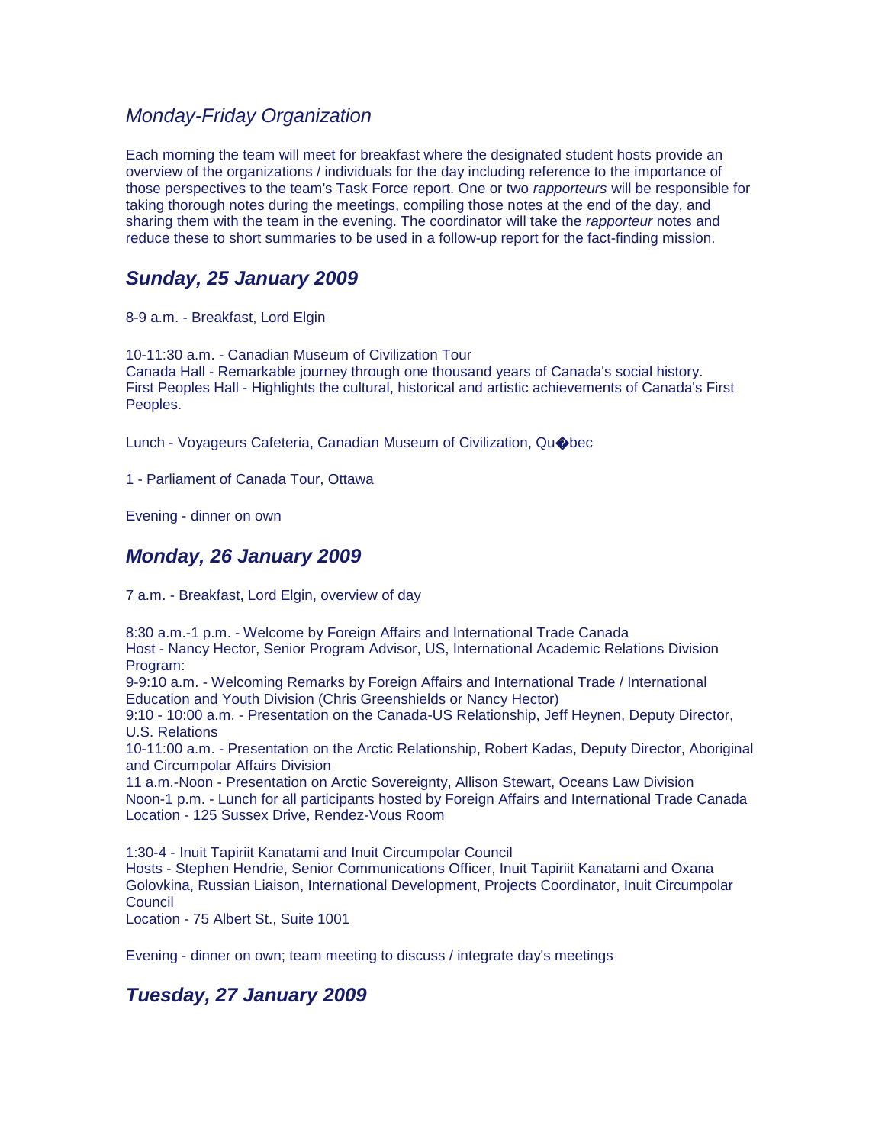### *Monday-Friday Organization*

Each morning the team will meet for breakfast where the designated student hosts provide an overview of the organizations / individuals for the day including reference to the importance of those perspectives to the team's Task Force report. One or two *rapporteurs* will be responsible for taking thorough notes during the meetings, compiling those notes at the end of the day, and sharing them with the team in the evening. The coordinator will take the *rapporteur* notes and reduce these to short summaries to be used in a follow-up report for the fact-finding mission.

## *Sunday, 25 January 2009*

8-9 a.m. - Breakfast, Lord Elgin

10-11:30 a.m. - Canadian Museum of Civilization Tour Canada Hall - Remarkable journey through one thousand years of Canada's social history. First Peoples Hall - Highlights the cultural, historical and artistic achievements of Canada's First Peoples.

Lunch - Voyageurs Cafeteria, Canadian Museum of Civilization, Qu�bec

1 - Parliament of Canada Tour, Ottawa

Evening - dinner on own

## *Monday, 26 January 2009*

7 a.m. - Breakfast, Lord Elgin, overview of day

8:30 a.m.-1 p.m. - Welcome by Foreign Affairs and International Trade Canada Host - Nancy Hector, Senior Program Advisor, US, International Academic Relations Division Program:

9-9:10 a.m. - Welcoming Remarks by Foreign Affairs and International Trade / International Education and Youth Division (Chris Greenshields or Nancy Hector)

9:10 - 10:00 a.m. - Presentation on the Canada-US Relationship, Jeff Heynen, Deputy Director, U.S. Relations

10-11:00 a.m. - Presentation on the Arctic Relationship, Robert Kadas, Deputy Director, Aboriginal and Circumpolar Affairs Division

11 a.m.-Noon - Presentation on Arctic Sovereignty, Allison Stewart, Oceans Law Division Noon-1 p.m. - Lunch for all participants hosted by Foreign Affairs and International Trade Canada Location - 125 Sussex Drive, Rendez-Vous Room

1:30-4 - Inuit Tapiriit Kanatami and Inuit Circumpolar Council Hosts - Stephen Hendrie, Senior Communications Officer, Inuit Tapiriit Kanatami and Oxana Golovkina, Russian Liaison, International Development, Projects Coordinator, Inuit Circumpolar **Council** 

Location - 75 Albert St., Suite 1001

Evening - dinner on own; team meeting to discuss / integrate day's meetings

## *Tuesday, 27 January 2009*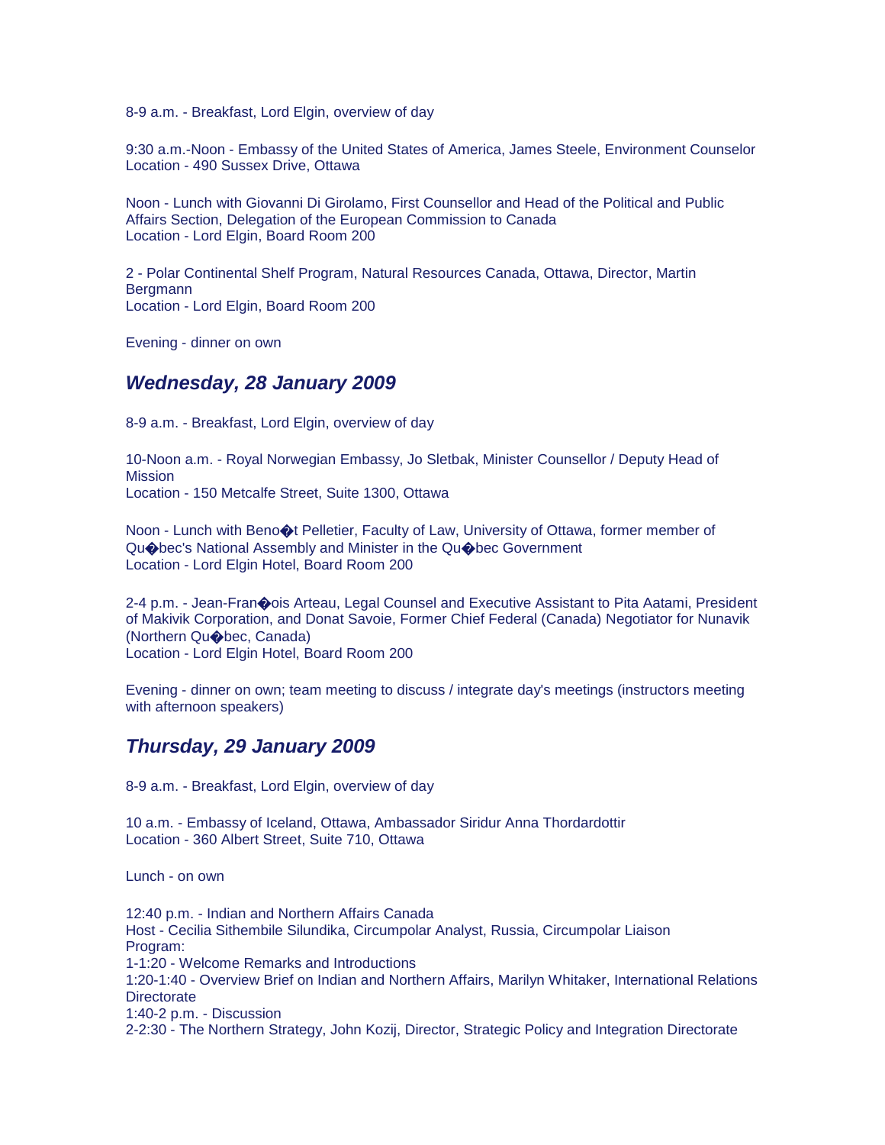8-9 a.m. - Breakfast, Lord Elgin, overview of day

9:30 a.m.-Noon - Embassy of the United States of America, James Steele, Environment Counselor Location - 490 Sussex Drive, Ottawa

Noon - Lunch with Giovanni Di Girolamo, First Counsellor and Head of the Political and Public Affairs Section, Delegation of the European Commission to Canada Location - Lord Elgin, Board Room 200

2 - Polar Continental Shelf Program, Natural Resources Canada, Ottawa, Director, Martin **Bergmann** Location - Lord Elgin, Board Room 200

Evening - dinner on own

#### *Wednesday, 28 January 2009*

8-9 a.m. - Breakfast, Lord Elgin, overview of day

10-Noon a.m. - Royal Norwegian Embassy, Jo Sletbak, Minister Counsellor / Deputy Head of Mission Location - 150 Metcalfe Street, Suite 1300, Ottawa

Noon - Lunch with Beno $\bigcirc$  Pelletier, Faculty of Law, University of Ottawa, former member of Qu�bec's National Assembly and Minister in the Qu�bec Government Location - Lord Elgin Hotel, Board Room 200

2-4 p.m. - Jean-Fran�ois Arteau, Legal Counsel and Executive Assistant to Pita Aatami, President of Makivik Corporation, and Donat Savoie, Former Chief Federal (Canada) Negotiator for Nunavik (Northern Qu�bec, Canada) Location - Lord Elgin Hotel, Board Room 200

Evening - dinner on own; team meeting to discuss / integrate day's meetings (instructors meeting with afternoon speakers)

#### *Thursday, 29 January 2009*

8-9 a.m. - Breakfast, Lord Elgin, overview of day

10 a.m. - Embassy of Iceland, Ottawa, Ambassador Siridur Anna Thordardottir Location - 360 Albert Street, Suite 710, Ottawa

Lunch - on own

12:40 p.m. - Indian and Northern Affairs Canada Host - Cecilia Sithembile Silundika, Circumpolar Analyst, Russia, Circumpolar Liaison Program: 1-1:20 - Welcome Remarks and Introductions 1:20-1:40 - Overview Brief on Indian and Northern Affairs, Marilyn Whitaker, International Relations **Directorate** 1:40-2 p.m. - Discussion 2-2:30 - The Northern Strategy, John Kozij, Director, Strategic Policy and Integration Directorate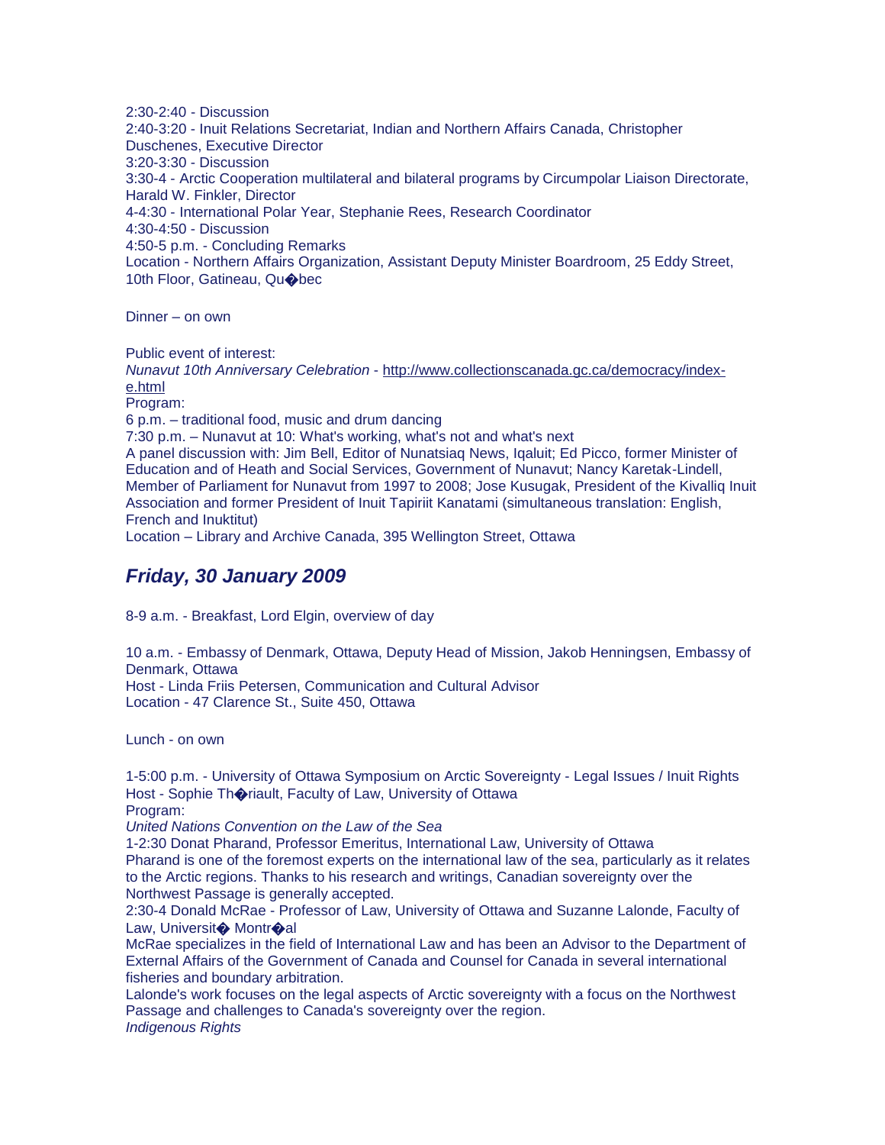2:30-2:40 - Discussion 2:40-3:20 - Inuit Relations Secretariat, Indian and Northern Affairs Canada, Christopher Duschenes, Executive Director 3:20-3:30 - Discussion 3:30-4 - Arctic Cooperation multilateral and bilateral programs by Circumpolar Liaison Directorate, Harald W. Finkler, Director 4-4:30 - International Polar Year, Stephanie Rees, Research Coordinator 4:30-4:50 - Discussion 4:50-5 p.m. - Concluding Remarks Location - Northern Affairs Organization, Assistant Deputy Minister Boardroom, 25 Eddy Street, 10th Floor, Gatineau, Quobec

Dinner – on own

Public event of interest:

*Nunavut 10th Anniversary Celebration* - [http://www.collectionscanada.gc.ca/democracy/index](http://www.collectionscanada.gc.ca/democracy/index-e.html)[e.html](http://www.collectionscanada.gc.ca/democracy/index-e.html)

Program:

6 p.m. – traditional food, music and drum dancing

7:30 p.m. – Nunavut at 10: What's working, what's not and what's next

A panel discussion with: Jim Bell, Editor of Nunatsiaq News, Iqaluit; Ed Picco, former Minister of Education and of Heath and Social Services, Government of Nunavut; Nancy Karetak-Lindell, Member of Parliament for Nunavut from 1997 to 2008; Jose Kusugak, President of the Kivalliq Inuit Association and former President of Inuit Tapiriit Kanatami (simultaneous translation: English, French and Inuktitut)

Location – Library and Archive Canada, 395 Wellington Street, Ottawa

### *Friday, 30 January 2009*

8-9 a.m. - Breakfast, Lord Elgin, overview of day

10 a.m. - Embassy of Denmark, Ottawa, Deputy Head of Mission, Jakob Henningsen, Embassy of Denmark, Ottawa Host - Linda Friis Petersen, Communication and Cultural Advisor Location - 47 Clarence St., Suite 450, Ottawa

Lunch - on own

1-5:00 p.m. - University of Ottawa Symposium on Arctic Sovereignty - Legal Issues / Inuit Rights Host - Sophie Thoriault, Faculty of Law, University of Ottawa Program:

*United Nations Convention on the Law of the Sea*

1-2:30 Donat Pharand, Professor Emeritus, International Law, University of Ottawa Pharand is one of the foremost experts on the international law of the sea, particularly as it relates to the Arctic regions. Thanks to his research and writings, Canadian sovereignty over the Northwest Passage is generally accepted.

2:30-4 Donald McRae - Professor of Law, University of Ottawa and Suzanne Lalonde, Faculty of Law, Universit<sup>o</sup> Montroal

McRae specializes in the field of International Law and has been an Advisor to the Department of External Affairs of the Government of Canada and Counsel for Canada in several international fisheries and boundary arbitration.

Lalonde's work focuses on the legal aspects of Arctic sovereignty with a focus on the Northwest Passage and challenges to Canada's sovereignty over the region. *Indigenous Rights*